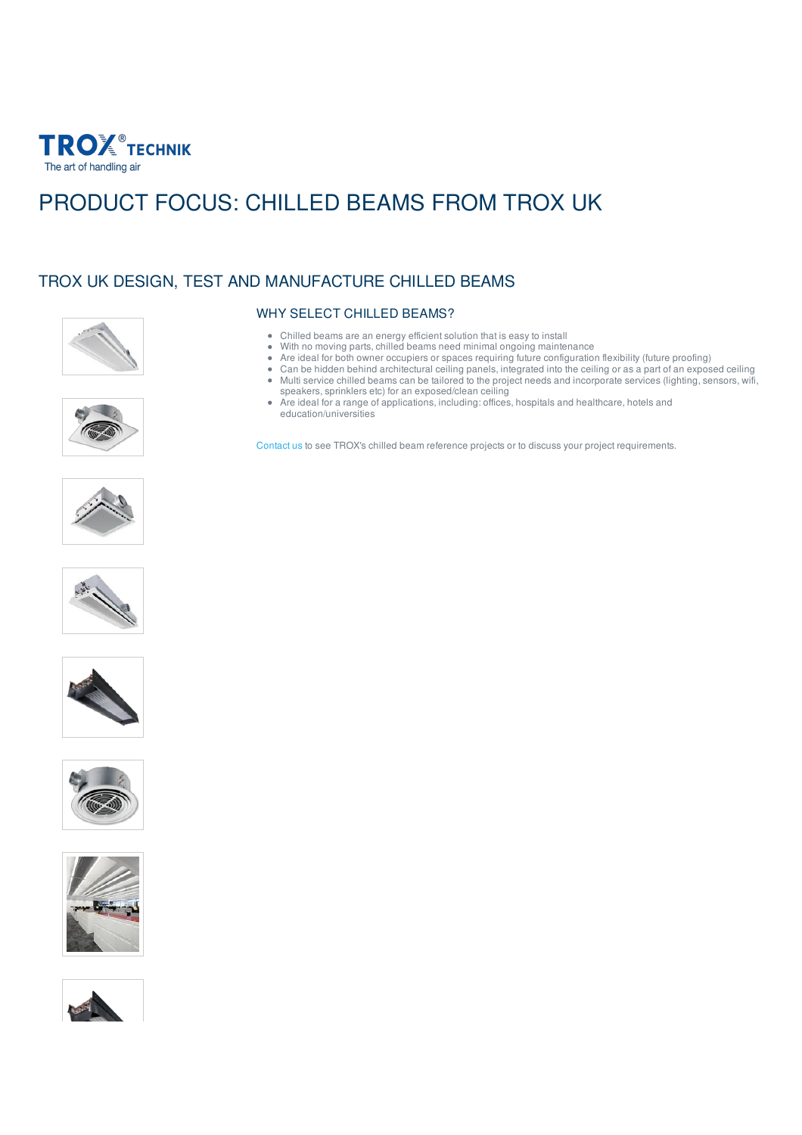

## PRODUCT FOCUS: CHILLED BEAMS FROM TROX UK

## TROX UK DESIGN, TEST AND MANUFACTURE CHILLED BEAMS







- Chilled beams are an energy efficient solution that is easy to install
- With no moving parts, chilled beams need minimal ongoing maintenance
- Are ideal for both owner occupiers or spaces requiring future configuration flexibility (future proofing)
- Can be hidden behind architectural ceiling panels, integrated into the ceiling or as a part of an exposed ceiling Multi service chilled beams can be tailored to the project needs and incorporate services (lighting, sensors, wifi, speakers, sprinklers etc) for an exposed/clean ceiling
- Are ideal for a range of applications, including: offices, hospitals and healthcare, hotels and education/universities

[Contact](mailto:marketing@troxuk.co.uk) us to see TROX's chilled beam reference projects or to discuss your project requirements.











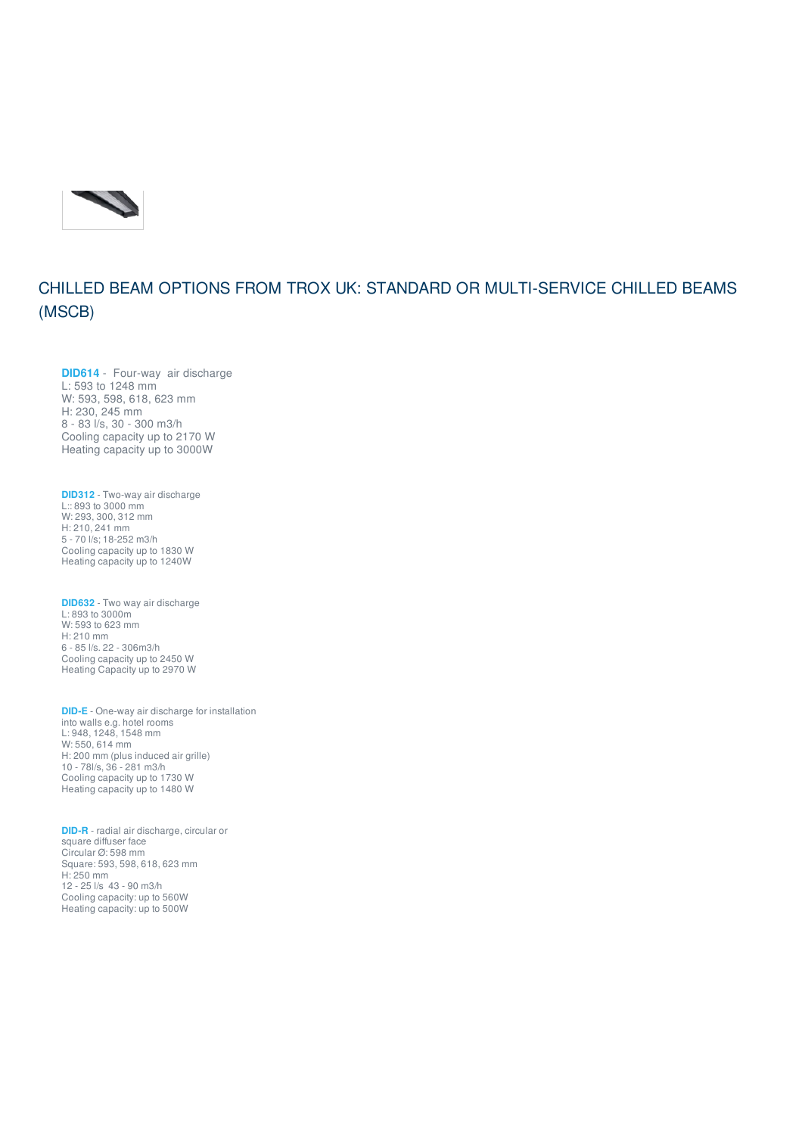

## CHILLED BEAM OPTIONS FROM TROX UK: STANDARD OR MULTI-SERVICE CHILLED BEAMS (MSCB)

**[DID614](https://www.troxuk.co.uk/chilled-beams%25C2%25A0for-suspended-ceilings/did614-d4aef6a89d87fc6a)** - Four-way air discharge L: 593 to 1248 mm W: 593, 598, 618, 623 mm H: 230, 245 mm 8 - 83 l/s, 30 - 300 m3/h Cooling capacity up to 2170 W Heating capacity up to 3000W

**[DID312](https://www.troxuk.co.uk/chilled-beams%25C2%25A0for-suspended-ceilings/did-312-4ea9b3d470c4b249)** - Two-way air discharge L:: 893 to 3000 mm W: 293, 300, 312 mm H: 210, 241 mm 5 - 70 l/s; 18-252 m3/h Cooling capacity up to 1830 W Heating capacity up to 1240W

**[DID632](https://www.troxuk.co.uk/chilled-beams%25C2%25A0for-suspended-ceilings/did-632-03137d115a825ef0)** - Two way air discharge L: 893 to 3000m W: 593 to 623 mm H: 210 mm 6 - 85 l/s. 22 - 306m3/h Cooling capacity up to 2450 W Heating Capacity up to 2970 W

**[DID-E](https://www.troxuk.co.uk/recessed-active-chilled-beam/did-e-e785afb45a6a16ac)** - One-way air discharge for installation into walls e.g. hotel rooms L: 948, 1248, 1548 mm W: 550, 614 mm H: 200 mm (plus induced air grille) 10 - 78l/s, 36 - 281 m3/h Cooling capacity up to 1730 W Heating capacity up to 1480 W

**[DID-R](https://www.troxuk.co.uk/active-chilled-beam-for-suspended-ceiling/did-r-09a0b7bebc8abb7e?amp%253B_scrivito_workspace_id=ic82b644227407a2)** - radial air discharge, circular or square diffuser face Circular Ø: 598 mm Square: 593, 598, 618, 623 mm H: 250 mm 12 - 25 l/s 43 - 90 m3/h Cooling capacity: up to 560W Heating capacity: up to 500W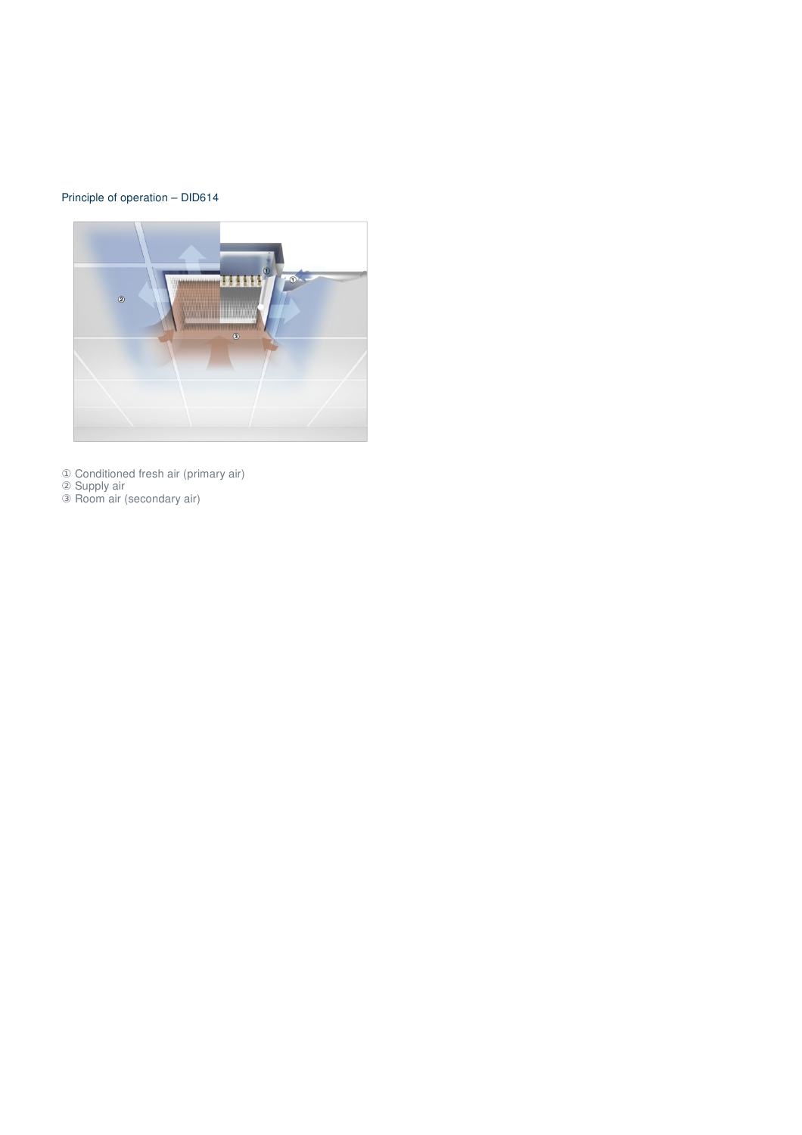## Principle of operation – DID614



Conditioned fresh air (primary air)

Supply air

Room air (secondary air)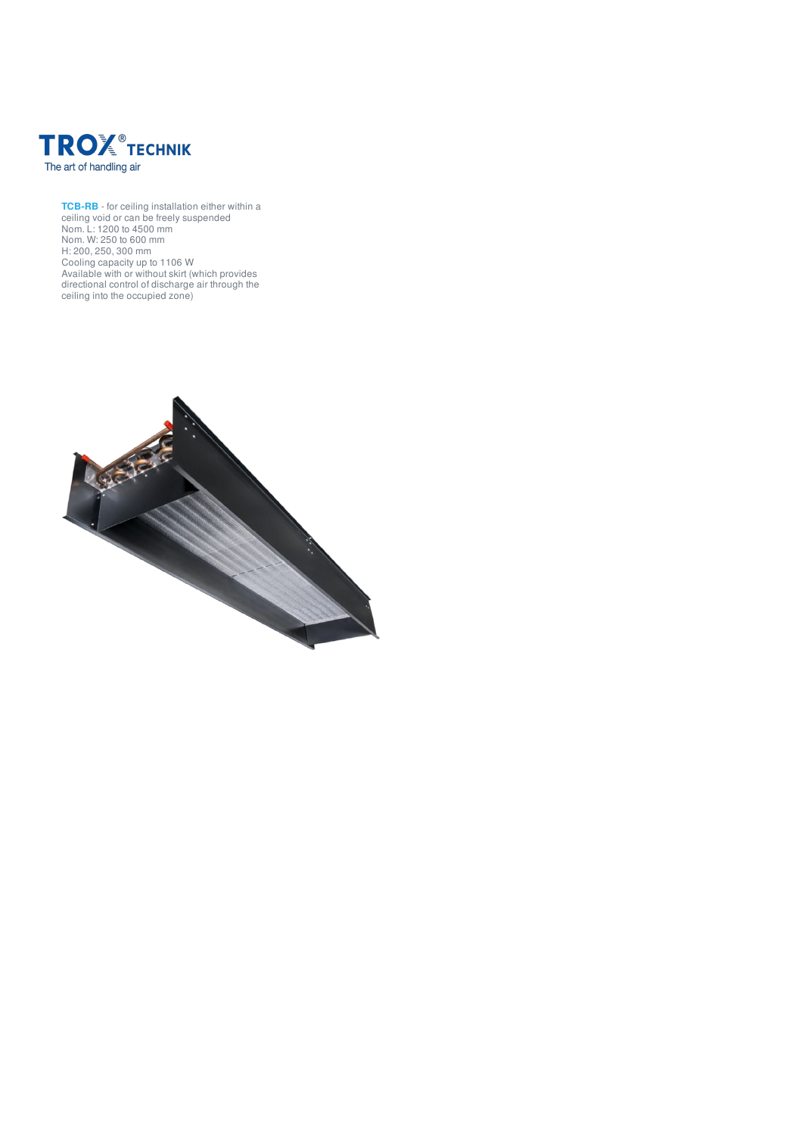

**[TCB-RB](https://www.troxuk.co.uk/passive-chilled-beams/tcb-rb-0d866ead66c76de8)** - for ceiling installation either within a ceiling void or can be freely suspended Nom. L: 1200 to 4500 mm Nom. W: 250 to 600 mm H: 200, 250, 300 mm Cooling capacity up to 1106 W Available with or without skirt (which provides directional control of discharge air through the ceiling into the occupied zone)